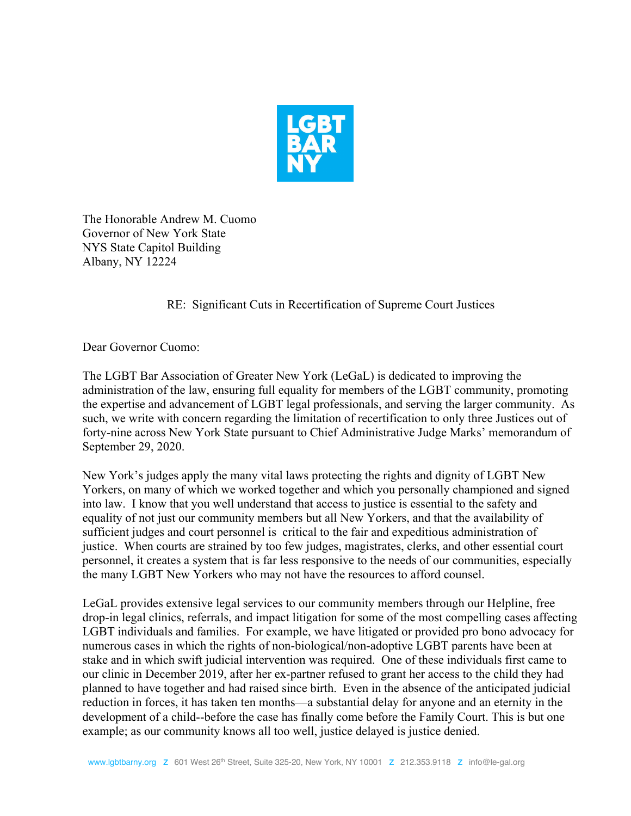

The Honorable Andrew M. Cuomo Governor of New York State NYS State Capitol Building Albany, NY 12224

RE: Significant Cuts in Recertification of Supreme Court Justices

Dear Governor Cuomo:

The LGBT Bar Association of Greater New York (LeGaL) is dedicated to improving the administration of the law, ensuring full equality for members ofthe LGBT community, promoting the expertise and advancement of LGBT legal professionals, and serving the larger community. As such, we write with concern regarding the limitation of recertification to only three Justices out of forty-nine across New York State pursuant to Chief Administrative Judge Marks' memorandum of September 29, 2020.

New York's judges apply the many vital laws protecting the rights and dignity of LGBT New Yorkers, on many of which we worked together and which you personally championed and signed into law. I know that you well understand that access to justice is essential to the safety and equality of not justour community members but all New Yorkers, and that the availability of sufficient judges and court personnel is critical to the fair and expeditious administration of justice. When courts are strained by too few judges, magistrates, clerks, and other essential court personnel, it creates a system that is far less responsive to the needs of our communities, especially the many LGBT New Yorkers who may not have the resources to afford counsel.

LeGaL provides extensive legal services to our community members through our Helpline, free drop-in legal clinics, referrals, and impact litigation for some of the most compelling cases affecting LGBT individuals and families. For example, we have litigated or provided pro bono advocacy for numerous cases in which the rights of non-biological/non-adoptive LGBT parents have been at stake and in which swift judicial intervention was required. One of these individuals first came to our clinic in December 2019, after her ex-partner refused to grant her access to the child they had planned to have together and had raised since birth. Even in the absence of the anticipated judicial reduction in forces, it has taken ten months—a substantial delay for anyone and an eternity in the development of a child--before the case has finally come before the Family Court. This is but one example; as our community knows all too well, justice delayed is justice denied.